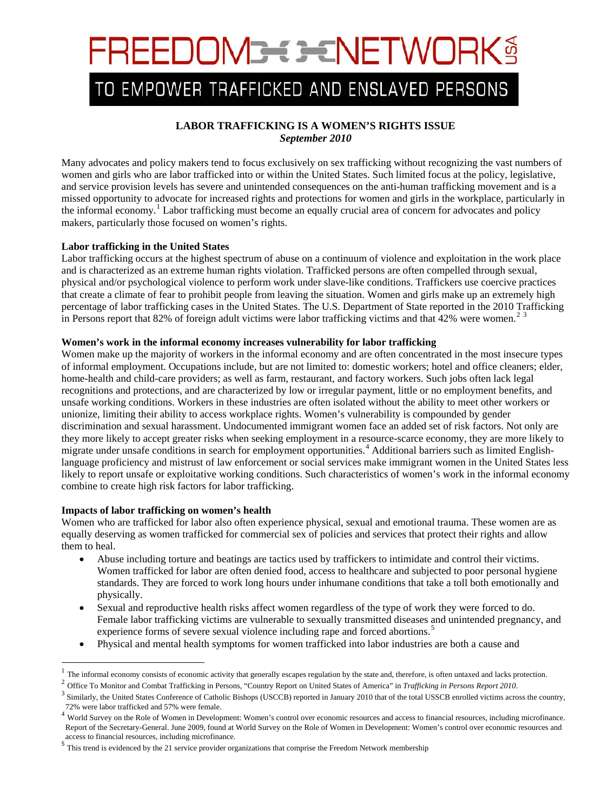# FREEDOM3<del>=</del> 3=NETWORK§

## TO EMPOWER TRAFFICKED AND ENSLAVED PERSONS

### **LABOR TRAFFICKING IS A WOMEN'S RIGHTS ISSUE** *September 2010*

Many advocates and policy makers tend to focus exclusively on sex trafficking without recognizing the vast numbers of women and girls who are labor trafficked into or within the United States. Such limited focus at the policy, legislative, and service provision levels has severe and unintended consequences on the anti-human trafficking movement and is a missed opportunity to advocate for increased rights and protections for women and girls in the workplace, particularly in the informal economy.<sup>[1](#page-0-0)</sup> Labor trafficking must become an equally crucial area of concern for advocates and policy makers, particularly those focused on women's rights.

#### **Labor trafficking in the United States**

Labor trafficking occurs at the highest spectrum of abuse on a continuum of violence and exploitation in the work place and is characterized as an extreme human rights violation. Trafficked persons are often compelled through sexual, physical and/or psychological violence to perform work under slave-like conditions. Traffickers use coercive practices that create a climate of fear to prohibit people from leaving the situation. Women and girls make up an extremely high percentage of labor trafficking cases in the United States. The U.S. Department of State reported in the 2010 Trafficking in Persons report that 8[2](#page-0-1)% of foreign adult victims were labor trafficking victims and that  $42\%$  were women.<sup>2[3](#page-0-2)</sup>

#### **Women's work in the informal economy increases vulnerability for labor trafficking**

Women make up the majority of workers in the informal economy and are often concentrated in the most insecure types of informal employment. Occupations include, but are not limited to: domestic workers; hotel and office cleaners; elder, home-health and child-care providers; as well as farm, restaurant, and factory workers. Such jobs often lack legal recognitions and protections, and are characterized by low or irregular payment, little or no employment benefits, and unsafe working conditions. Workers in these industries are often isolated without the ability to meet other workers or unionize, limiting their ability to access workplace rights. Women's vulnerability is compounded by gender discrimination and sexual harassment. Undocumented immigrant women face an added set of risk factors. Not only are they more likely to accept greater risks when seeking employment in a resource-scarce economy, they are more likely to migrate under unsafe conditions in search for employment opportunities. [4](#page-0-3) Additional barriers such as limited Englishlanguage proficiency and mistrust of law enforcement or social services make immigrant women in the United States less likely to report unsafe or exploitative working conditions. Such characteristics of women's work in the informal economy combine to create high risk factors for labor trafficking.

#### **Impacts of labor trafficking on women's health**

 $\overline{\phantom{0}}$ 

Women who are trafficked for labor also often experience physical, sexual and emotional trauma. These women are as equally deserving as women trafficked for commercial sex of policies and services that protect their rights and allow them to heal.

- Abuse including torture and beatings are tactics used by traffickers to intimidate and control their victims. Women trafficked for labor are often denied food, access to healthcare and subjected to poor personal hygiene standards. They are forced to work long hours under inhumane conditions that take a toll both emotionally and physically.
- Sexual and reproductive health risks affect women regardless of the type of work they were forced to do. Female labor trafficking victims are vulnerable to sexually transmitted diseases and unintended pregnancy, and experience forms of severe sexual violence including rape and forced abortions.<sup>[5](#page-0-4)</sup>
- Physical and mental health symptoms for women trafficked into labor industries are both a cause and

<span id="page-0-0"></span><sup>&</sup>lt;sup>1</sup> The informal economy consists of economic activity that generally escapes regulation by the state and, therefore, is often untaxed and lacks protection.<br><sup>2</sup> Office To Monitor and Combat Trafficking in Persons, "Countr

<span id="page-0-2"></span><span id="page-0-1"></span><sup>&</sup>lt;sup>3</sup> Similarly, the United States Conference of Catholic Bishops (USCCB) reported in January 2010 that of the total USSCB enrolled victims across the country,

<span id="page-0-3"></span> $12\%$  were labor trafficked and 57% were female.<br><sup>4</sup> World Survey on the Role of Women in Development: Women's control over economic resources and access to financial resources, including microfinance. Report of the Secretary-General. June 2009, found at World Survey on the Role of Women in Development: Women's control over economic resources and access to financial resources, including microfinance.

<span id="page-0-4"></span><sup>5</sup> This trend is evidenced by the 21 service provider organizations that comprise the Freedom Network membership